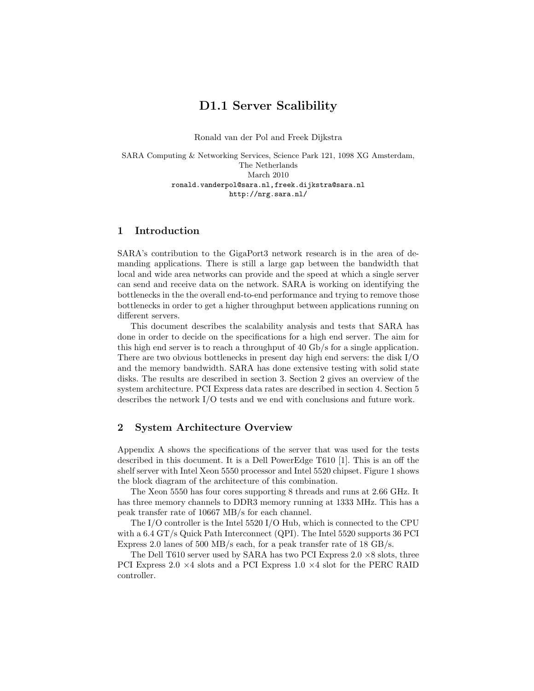# D1.1 Server Scalibility

Ronald van der Pol and Freek Dijkstra

SARA Computing & Networking Services, Science Park 121, 1098 XG Amsterdam, The Netherlands March 2010 ronald.vanderpol@sara.nl,freek.dijkstra@sara.nl http://nrg.sara.nl/

## 1 Introduction

SARA's contribution to the GigaPort3 network research is in the area of demanding applications. There is still a large gap between the bandwidth that local and wide area networks can provide and the speed at which a single server can send and receive data on the network. SARA is working on identifying the bottlenecks in the the overall end-to-end performance and trying to remove those bottlenecks in order to get a higher throughput between applications running on different servers.

This document describes the scalability analysis and tests that SARA has done in order to decide on the specifications for a high end server. The aim for this high end server is to reach a throughput of 40 Gb/s for a single application. There are two obvious bottlenecks in present day high end servers: the disk I/O and the memory bandwidth. SARA has done extensive testing with solid state disks. The results are described in section 3. Section 2 gives an overview of the system architecture. PCI Express data rates are described in section 4. Section 5 describes the network I/O tests and we end with conclusions and future work.

## 2 System Architecture Overview

Appendix A shows the specifications of the server that was used for the tests described in this document. It is a Dell PowerEdge T610 [1]. This is an off the shelf server with Intel Xeon 5550 processor and Intel 5520 chipset. Figure 1 shows the block diagram of the architecture of this combination.

The Xeon 5550 has four cores supporting 8 threads and runs at 2.66 GHz. It has three memory channels to DDR3 memory running at 1333 MHz. This has a peak transfer rate of 10667 MB/s for each channel.

The I/O controller is the Intel 5520 I/O Hub, which is connected to the CPU with a 6.4 GT/s Quick Path Interconnect (QPI). The Intel 5520 supports 36 PCI Express 2.0 lanes of 500 MB/s each, for a peak transfer rate of 18 GB/s.

The Dell T610 server used by SARA has two PCI Express  $2.0 \times 8$  slots, three PCI Express 2.0  $\times$  4 slots and a PCI Express 1.0  $\times$  4 slot for the PERC RAID controller.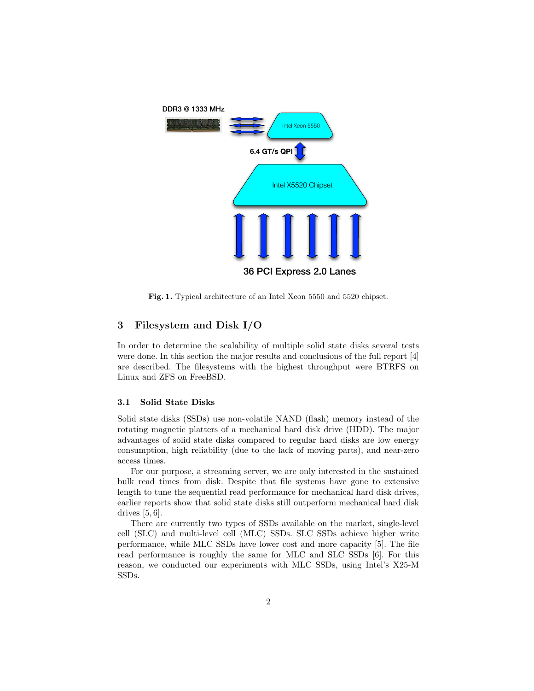

Fig. 1. Typical architecture of an Intel Xeon 5550 and 5520 chipset.

## 3 Filesystem and Disk I/O

In order to determine the scalability of multiple solid state disks several tests were done. In this section the major results and conclusions of the full report [4] are described. The filesystems with the highest throughput were BTRFS on Linux and ZFS on FreeBSD.

#### 3.1 Solid State Disks

Solid state disks (SSDs) use non-volatile NAND (flash) memory instead of the rotating magnetic platters of a mechanical hard disk drive (HDD). The major advantages of solid state disks compared to regular hard disks are low energy consumption, high reliability (due to the lack of moving parts), and near-zero access times.

For our purpose, a streaming server, we are only interested in the sustained bulk read times from disk. Despite that file systems have gone to extensive length to tune the sequential read performance for mechanical hard disk drives, earlier reports show that solid state disks still outperform mechanical hard disk drives [5, 6].

There are currently two types of SSDs available on the market, single-level cell (SLC) and multi-level cell (MLC) SSDs. SLC SSDs achieve higher write performance, while MLC SSDs have lower cost and more capacity [5]. The file read performance is roughly the same for MLC and SLC SSDs [6]. For this reason, we conducted our experiments with MLC SSDs, using Intel's X25-M SSDs.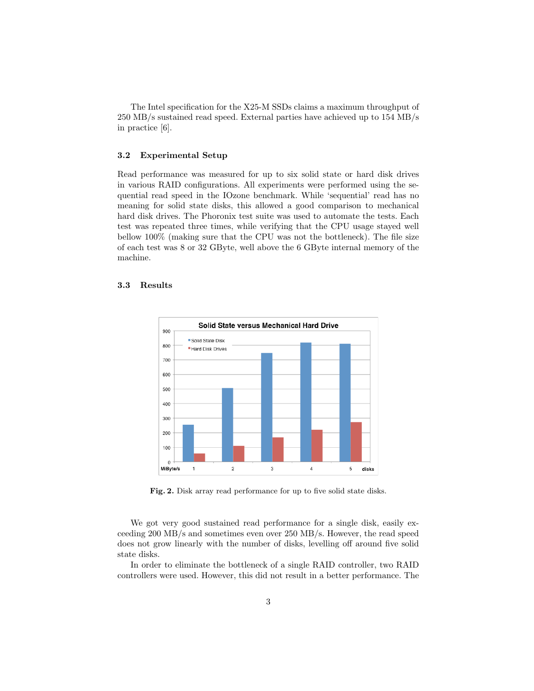The Intel specification for the X25-M SSDs claims a maximum throughput of 250 MB/s sustained read speed. External parties have achieved up to 154 MB/s in practice [6].

#### 3.2 Experimental Setup

Read performance was measured for up to six solid state or hard disk drives in various RAID configurations. All experiments were performed using the sequential read speed in the IOzone benchmark. While 'sequential' read has no meaning for solid state disks, this allowed a good comparison to mechanical hard disk drives. The Phoronix test suite was used to automate the tests. Each test was repeated three times, while verifying that the CPU usage stayed well bellow 100% (making sure that the CPU was not the bottleneck). The file size of each test was 8 or 32 GByte, well above the 6 GByte internal memory of the machine.

### 3.3 Results



Fig. 2. Disk array read performance for up to five solid state disks.

We got very good sustained read performance for a single disk, easily exceeding 200 MB/s and sometimes even over 250 MB/s. However, the read speed does not grow linearly with the number of disks, levelling off around five solid state disks.

In order to eliminate the bottleneck of a single RAID controller, two RAID controllers were used. However, this did not result in a better performance. The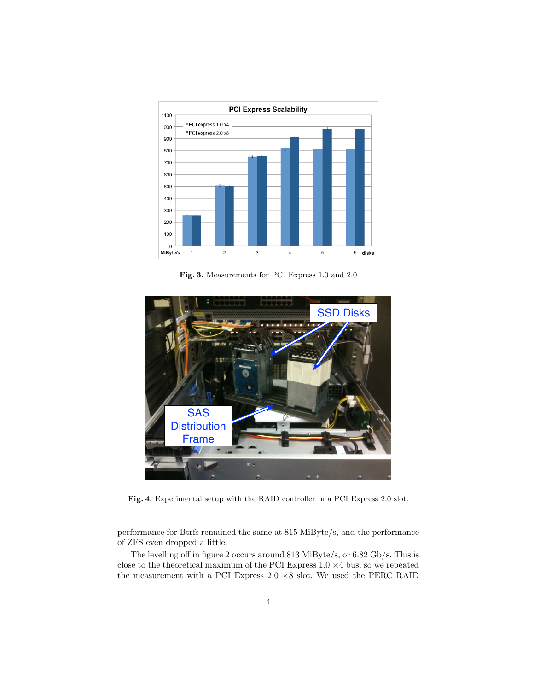

Fig. 3. Measurements for PCI Express 1.0 and 2.0



Fig. 4. Experimental setup with the RAID controller in a PCI Express 2.0 slot.

performance for Btrfs remained the same at 815 MiByte/s, and the performance of ZFS even dropped a little.

The levelling off in figure 2 occurs around 813 MiByte/s, or 6.82 Gb/s. This is close to the theoretical maximum of the PCI Express  $1.0 \times 4$  bus, so we repeated the measurement with a PCI Express  $2.0 \times 8$  slot. We used the PERC RAID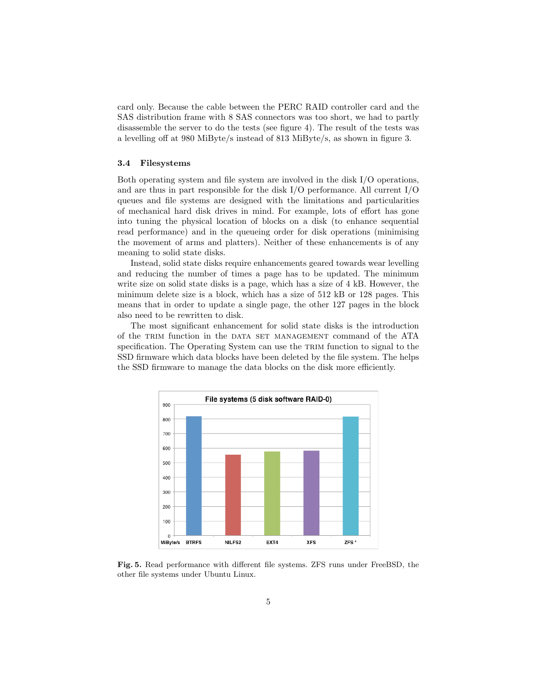card only. Because the cable between the PERC RAID controller card and the SAS distribution frame with 8 SAS connectors was too short, we had to partly disassemble the server to do the tests (see figure 4). The result of the tests was a levelling off at 980 MiByte/s instead of 813 MiByte/s, as shown in figure 3.

### 3.4 Filesystems

Both operating system and file system are involved in the disk I/O operations, and are thus in part responsible for the disk I/O performance. All current I/O queues and file systems are designed with the limitations and particularities of mechanical hard disk drives in mind. For example, lots of effort has gone into tuning the physical location of blocks on a disk (to enhance sequential read performance) and in the queueing order for disk operations (minimising the movement of arms and platters). Neither of these enhancements is of any meaning to solid state disks.

Instead, solid state disks require enhancements geared towards wear levelling and reducing the number of times a page has to be updated. The minimum write size on solid state disks is a page, which has a size of 4 kB. However, the minimum delete size is a block, which has a size of 512 kB or 128 pages. This means that in order to update a single page, the other 127 pages in the block also need to be rewritten to disk.

The most significant enhancement for solid state disks is the introduction of the trim function in the data set management command of the ATA specification. The Operating System can use the TRIM function to signal to the SSD firmware which data blocks have been deleted by the file system. The helps the SSD firmware to manage the data blocks on the disk more efficiently.



Fig. 5. Read performance with different file systems. ZFS runs under FreeBSD, the other file systems under Ubuntu Linux.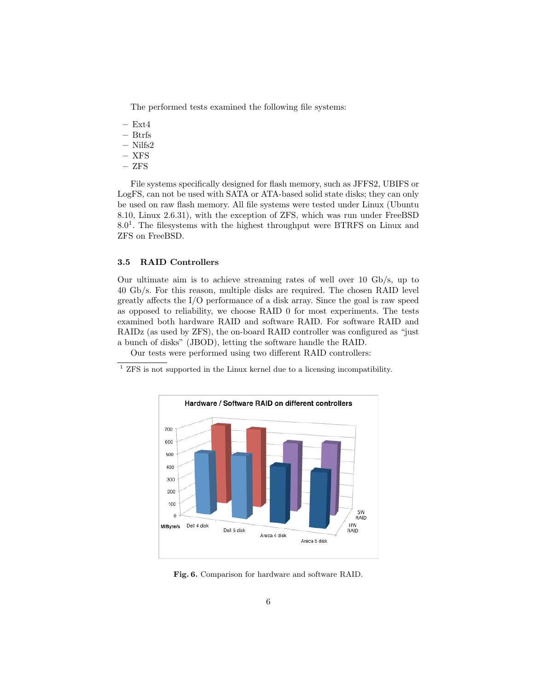The performed tests examined the following file systems:

- $-$  Ext4
- Btrfs
- Nilfs2
- XFS
- ZFS

File systems specifically designed for flash memory, such as JFFS2, UBIFS or LogFS, can not be used with SATA or ATA-based solid state disks; they can only be used on raw flash memory. All file systems were tested under Linux (Ubuntu 8.10, Linux 2.6.31), with the exception of ZFS, which was run under FreeBSD  $8.0<sup>1</sup>$ . The filesystems with the highest throughput were BTRFS on Linux and ZFS on FreeBSD.

#### 3.5 RAID Controllers

Our ultimate aim is to achieve streaming rates of well over 10 Gb/s, up to 40 Gb/s. For this reason, multiple disks are required. The chosen RAID level greatly affects the I/O performance of a disk array. Since the goal is raw speed as opposed to reliability, we choose RAID 0 for most experiments. The tests examined both hardware RAID and software RAID. For software RAID and RAIDz (as used by ZFS), the on-board RAID controller was configured as "just a bunch of disks" (JBOD), letting the software handle the RAID.

Our tests were performed using two different RAID controllers:

 $^{\rm 1}$  ZFS is not supported in the Linux kernel due to a licensing incompatibility.



Fig. 6. Comparison for hardware and software RAID.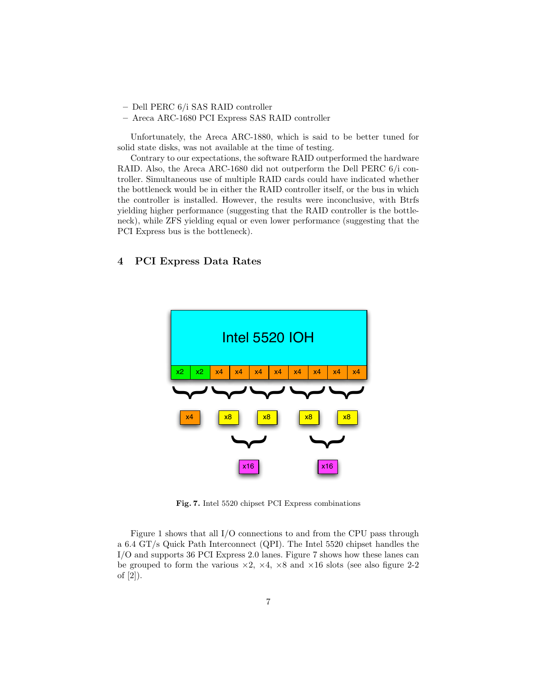- Dell PERC 6/i SAS RAID controller
- Areca ARC-1680 PCI Express SAS RAID controller

Unfortunately, the Areca ARC-1880, which is said to be better tuned for solid state disks, was not available at the time of testing.

Contrary to our expectations, the software RAID outperformed the hardware RAID. Also, the Areca ARC-1680 did not outperform the Dell PERC 6/i controller. Simultaneous use of multiple RAID cards could have indicated whether the bottleneck would be in either the RAID controller itself, or the bus in which the controller is installed. However, the results were inconclusive, with Btrfs yielding higher performance (suggesting that the RAID controller is the bottleneck), while ZFS yielding equal or even lower performance (suggesting that the PCI Express bus is the bottleneck).

## 4 PCI Express Data Rates



Fig. 7. Intel 5520 chipset PCI Express combinations

Figure 1 shows that all I/O connections to and from the CPU pass through a 6.4 GT/s Quick Path Interconnect (QPI). The Intel 5520 chipset handles the I/O and supports 36 PCI Express 2.0 lanes. Figure 7 shows how these lanes can be grouped to form the various  $\times 2$ ,  $\times 4$ ,  $\times 8$  and  $\times 16$  slots (see also figure 2-2 of [2]).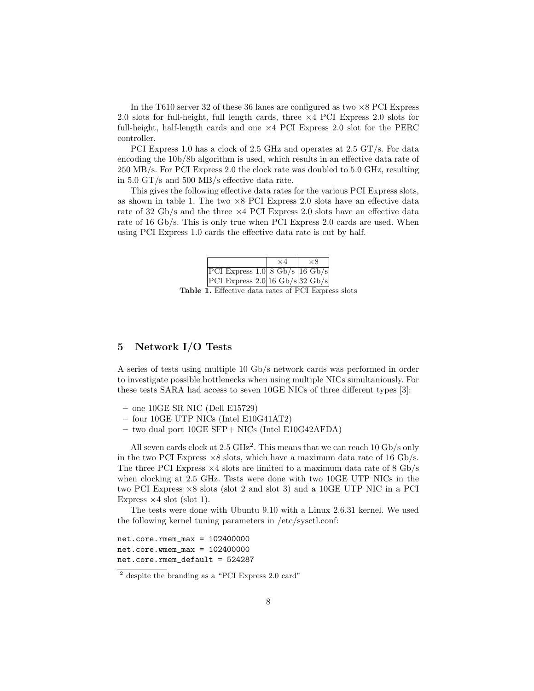In the T610 server 32 of these 36 lanes are configured as two  $\times$ 8 PCI Express 2.0 slots for full-height, full length cards, three  $\times$ 4 PCI Express 2.0 slots for full-height, half-length cards and one  $\times$  4 PCI Express 2.0 slot for the PERC controller.

PCI Express 1.0 has a clock of 2.5 GHz and operates at 2.5 GT/s. For data encoding the 10b/8b algorithm is used, which results in an effective data rate of 250 MB/s. For PCI Express 2.0 the clock rate was doubled to 5.0 GHz, resulting in 5.0 GT/s and 500 MB/s effective data rate.

This gives the following effective data rates for the various PCI Express slots, as shown in table 1. The two  $\times 8$  PCI Express 2.0 slots have an effective data rate of 32 Gb/s and the three  $\times$ 4 PCI Express 2.0 slots have an effective data rate of 16 Gb/s. This is only true when PCI Express 2.0 cards are used. When using PCI Express 1.0 cards the effective data rate is cut by half.

|                                                                    | $\times$ $\varDelta$ | ×Х |
|--------------------------------------------------------------------|----------------------|----|
| PCI Express $1.0 \vert 8 \text{ Gb/s} \vert 16 \text{ Gb/s} \vert$ |                      |    |
| PCI Express $2.0 16 \text{ Gb/s} 32 \text{ Gb/s}$                  |                      |    |

Table 1. Effective data rates of PCI Express slots

## 5 Network I/O Tests

A series of tests using multiple 10 Gb/s network cards was performed in order to investigate possible bottlenecks when using multiple NICs simultaniously. For these tests SARA had access to seven 10GE NICs of three different types [3]:

- one 10GE SR NIC (Dell E15729)
- four 10GE UTP NICs (Intel E10G41AT2)
- two dual port 10GE SFP+ NICs (Intel E10G42AFDA)

All seven cards clock at  $2.5 \text{ GHz}^2$ . This means that we can reach 10 Gb/s only in the two PCI Express  $\times 8$  slots, which have a maximum data rate of 16 Gb/s. The three PCI Express  $\times$ 4 slots are limited to a maximum data rate of 8 Gb/s when clocking at 2.5 GHz. Tests were done with two 10GE UTP NICs in the two PCI Express  $\times 8$  slots (slot 2 and slot 3) and a 10GE UTP NIC in a PCI Express  $\times$  4 slot (slot 1).

The tests were done with Ubuntu 9.10 with a Linux 2.6.31 kernel. We used the following kernel tuning parameters in /etc/sysctl.conf:

 $net.core.rmem_max = 102400000$  $net.core.wmem_max = 102400000$ net.core.rmem\_default = 524287

<sup>2</sup> despite the branding as a "PCI Express 2.0 card"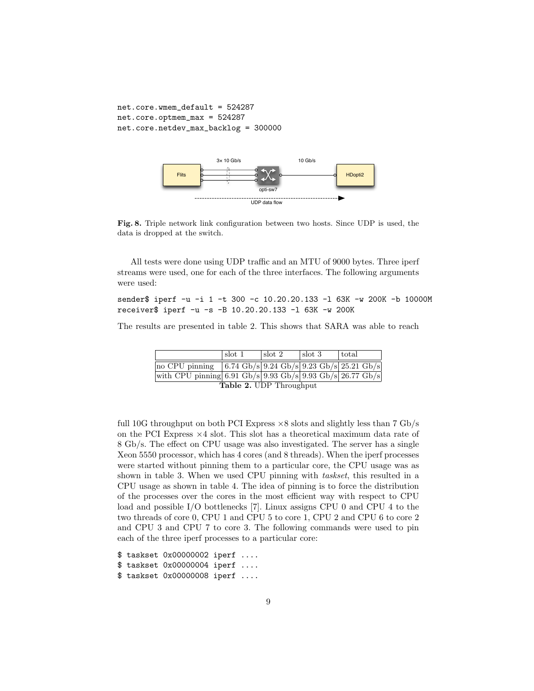```
net.core.wmem_default = 524287
net.core.optmem_max = 524287
net.core.netdev_max_backlog = 300000
```


Fig. 8. Triple network link configuration between two hosts. Since UDP is used, the data is dropped at the switch.

All tests were done using UDP traffic and an MTU of 9000 bytes. Three iperf streams were used, one for each of the three interfaces. The following arguments were used:

### sender\$ iperf -u -i 1 -t 300 -c 10.20.20.133 -1 63K -w 200K -b 10000M receiver\$ iperf -u -s -B 10.20.20.133 -l 63K -w 200K

The results are presented in table 2. This shows that SARA was able to reach

|                                                                                              | slot 1 | $\vert \text{ slot } 2 \vert$ | $\sqrt{3}$ | total |  |  |
|----------------------------------------------------------------------------------------------|--------|-------------------------------|------------|-------|--|--|
| no CPU pinning $(6.74 \text{Gb/s}   9.24 \text{Gb/s}   9.23 \text{Gb/s}   25.21 \text{Gb/s}$ |        |                               |            |       |  |  |
| with CPU pinning 6.91 Gb/s 9.93 Gb/s 9.93 Gb/s $26.77$ Gb/s                                  |        |                               |            |       |  |  |
| <b>Table 2. UDP</b> Throughput                                                               |        |                               |            |       |  |  |

full 10G throughput on both PCI Express ×8 slots and slightly less than 7 Gb/s on the PCI Express  $\times$ 4 slot. This slot has a theoretical maximum data rate of 8 Gb/s. The effect on CPU usage was also investigated. The server has a single Xeon 5550 processor, which has 4 cores (and 8 threads). When the iperf processes were started without pinning them to a particular core, the CPU usage was as shown in table 3. When we used CPU pinning with taskset, this resulted in a CPU usage as shown in table 4. The idea of pinning is to force the distribution of the processes over the cores in the most efficient way with respect to CPU load and possible I/O bottlenecks [7]. Linux assigns CPU 0 and CPU 4 to the two threads of core 0, CPU 1 and CPU 5 to core 1, CPU 2 and CPU 6 to core 2 and CPU 3 and CPU 7 to core 3. The following commands were used to pin each of the three iperf processes to a particular core:

\$ taskset 0x00000002 iperf .... \$ taskset 0x00000004 iperf .... \$ taskset 0x00000008 iperf ....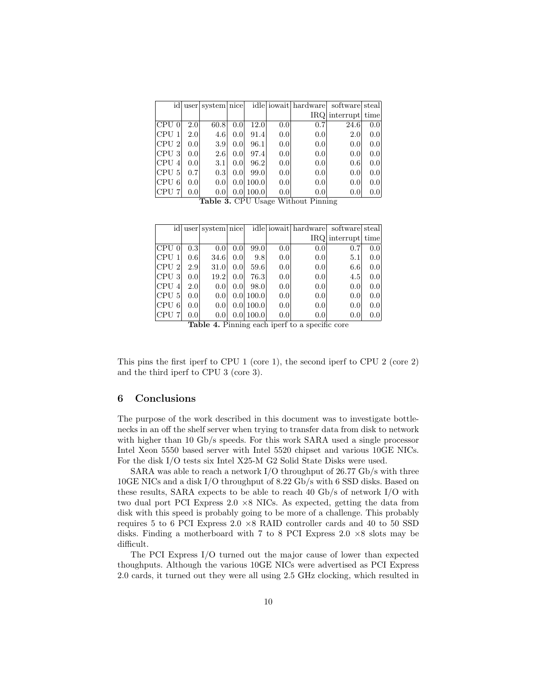|                  |                  | id user system nice |                  |            |                  | idle iowait hardware | software steal     |     |
|------------------|------------------|---------------------|------------------|------------|------------------|----------------------|--------------------|-----|
|                  |                  |                     |                  |            |                  |                      | IRQ interrupt time |     |
| CPU <sub>0</sub> | 2.0              | 60.8                | 0.0              | 12.0       | 0.0              | 0.7                  | 24.6               | 0.0 |
| <b>CPU</b>       | 2.0              | 4.6                 | 0.0 <sub>l</sub> | 91.4       | 0.0              | 0.0                  | 2.0                | 0.0 |
| CPU 2            | 0.0              | 3.9                 | 0.0 <sub>l</sub> | 96.1       | 0.0              | 0.0                  | 0.0                | 0.0 |
| CPU <sub>3</sub> | 0.0 <sub>l</sub> | 2.6                 | 0.0 <sub>l</sub> | 97.4       | 0.0              | 0.0                  | 0.0                | 0.0 |
| CPU<br>4         | 0.0              | 3.1                 | 0.0 <sub>l</sub> | 96.2       | 0.0              | 0.0                  | 0.6                | 0.0 |
| CPU -<br>5       | 0.7              | 0.3                 | 0.0 <sub>l</sub> | 99.0       | 0.0              | 0.0                  | 0.0                | 0.0 |
| CPU <br>6        | 0.01             | 0.01                |                  | 0.01100.01 | 0.0              | 0.0                  | 0.0                | 0.0 |
| CPU 7            | 0.0              | 0.0                 |                  | 0.0 100.0  | 0.0 <sub>l</sub> | 0.0                  | 0.0                | 0.0 |

Table 3. CPU Usage Without Pinning

|                              |                  | id user system nice |                  |           |     | idle iowait hardware software steal |                    |     |
|------------------------------|------------------|---------------------|------------------|-----------|-----|-------------------------------------|--------------------|-----|
|                              |                  |                     |                  |           |     |                                     | IRQ interrupt time |     |
| $\overline{\text{CPU}}$ 0    | 0.3 <sub>l</sub> | 0.0                 | 0.0              | 99.0      | 0.0 | 0.0                                 | 0.7                | 0.0 |
| CPU 1                        | 0.6 <sub>l</sub> | 34.6                | 0.0              | 9.8       | 0.0 | 0.0                                 | 5.1                | 0.0 |
| CPU <sub>2</sub>             | 2.9              | 31.0                | 0.0              | 59.6      | 0.0 | 0.0                                 | 6.6                | 0.0 |
| $ {\rm CPU} $                | 0.0 <sub>l</sub> | 19.2                | 0.0              | 76.3      | 0.0 | 0.0                                 | 4.5                | 0.0 |
| <b>CPU</b><br>$\overline{A}$ | 2.0 <sub>l</sub> | 0.0                 | 0.0              | 98.0      | 0.0 | 0.0 <sub>l</sub>                    | 0.0                | 0.0 |
| CPU <sub>5</sub>             | 0.0              | 0.0                 |                  | 0.0 100.0 | 0.0 | 0.0                                 | 0.0                | 0.0 |
| CPU 6                        | 0.0 <sub>l</sub> | 0.01                |                  | 0.0 100.0 | 0.0 | 0.0                                 | 0.0                | 0.0 |
| <b>CPU</b>                   | 0.0              | 0.0                 | 0.0 <sub>l</sub> | 100.0     | 0.0 | 0.0                                 | 0.0                | 0.0 |

Table 4. Pinning each iperf to a specific core

This pins the first iperf to CPU 1 (core 1), the second iperf to CPU 2 (core 2) and the third iperf to CPU 3 (core 3).

## 6 Conclusions

The purpose of the work described in this document was to investigate bottlenecks in an off the shelf server when trying to transfer data from disk to network with higher than 10 Gb/s speeds. For this work SARA used a single processor Intel Xeon 5550 based server with Intel 5520 chipset and various 10GE NICs. For the disk I/O tests six Intel X25-M G2 Solid State Disks were used.

SARA was able to reach a network I/O throughput of 26.77 Gb/s with three 10GE NICs and a disk I/O throughput of 8.22 Gb/s with 6 SSD disks. Based on these results, SARA expects to be able to reach 40 Gb/s of network I/O with two dual port PCI Express  $2.0 \times 8$  NICs. As expected, getting the data from disk with this speed is probably going to be more of a challenge. This probably requires 5 to 6 PCI Express  $2.0 \times 8$  RAID controller cards and 40 to 50 SSD disks. Finding a motherboard with 7 to 8 PCI Express  $2.0 \times 8$  slots may be difficult.

The PCI Express I/O turned out the major cause of lower than expected thoughputs. Although the various 10GE NICs were advertised as PCI Express 2.0 cards, it turned out they were all using 2.5 GHz clocking, which resulted in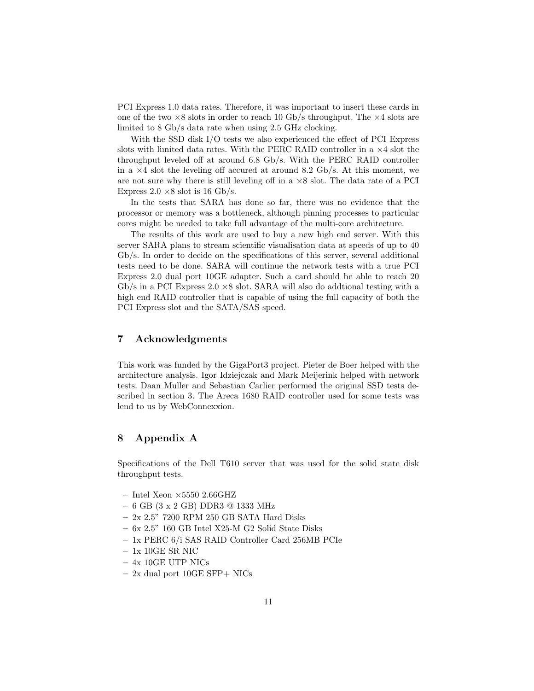PCI Express 1.0 data rates. Therefore, it was important to insert these cards in one of the two  $\times 8$  slots in order to reach 10 Gb/s throughput. The  $\times 4$  slots are limited to 8 Gb/s data rate when using 2.5 GHz clocking.

With the SSD disk I/O tests we also experienced the effect of PCI Express slots with limited data rates. With the PERC RAID controller in a  $\times 4$  slot the throughput leveled off at around 6.8 Gb/s. With the PERC RAID controller in a  $\times$ 4 slot the leveling off accured at around 8.2 Gb/s. At this moment, we are not sure why there is still leveling off in a  $\times 8$  slot. The data rate of a PCI Express 2.0  $\times$ 8 slot is 16 Gb/s.

In the tests that SARA has done so far, there was no evidence that the processor or memory was a bottleneck, although pinning processes to particular cores might be needed to take full advantage of the multi-core architecture.

The results of this work are used to buy a new high end server. With this server SARA plans to stream scientific visualisation data at speeds of up to 40 Gb/s. In order to decide on the specifications of this server, several additional tests need to be done. SARA will continue the network tests with a true PCI Express 2.0 dual port 10GE adapter. Such a card should be able to reach 20 Gb/s in a PCI Express  $2.0 \times 8$  slot. SARA will also do addtional testing with a high end RAID controller that is capable of using the full capacity of both the PCI Express slot and the SATA/SAS speed.

### 7 Acknowledgments

This work was funded by the GigaPort3 project. Pieter de Boer helped with the architecture analysis. Igor Idziejczak and Mark Meijerink helped with network tests. Daan Muller and Sebastian Carlier performed the original SSD tests described in section 3. The Areca 1680 RAID controller used for some tests was lend to us by WebConnexxion.

## 8 Appendix A

Specifications of the Dell T610 server that was used for the solid state disk throughput tests.

- Intel Xeon  $\times 5550$  2.66GHZ
- 6 GB (3 x 2 GB) DDR3 @ 1333 MHz
- $-$  2x 2.5" 7200 RPM 250 GB SATA Hard Disks
- $-$  6x 2.5" 160 GB Intel X25-M G2 Solid State Disks
- 1x PERC 6/i SAS RAID Controller Card 256MB PCIe
- $-$  1x 10GE SR NIC  $\,$
- 4x 10GE UTP NICs
- $-2x$  dual port 10GE SFP+ NICs